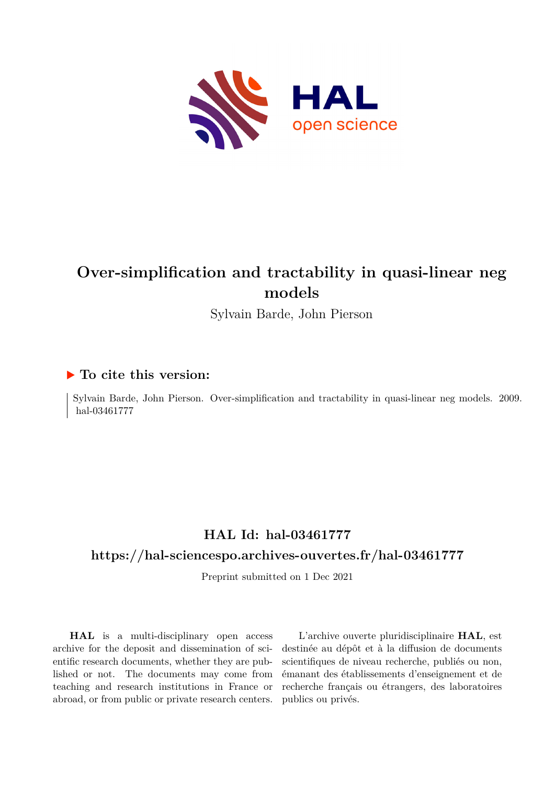

## **Over-simplification and tractability in quasi-linear neg models**

Sylvain Barde, John Pierson

### **To cite this version:**

Sylvain Barde, John Pierson. Over-simplification and tractability in quasi-linear neg models. 2009. hal-03461777

## **HAL Id: hal-03461777**

### **<https://hal-sciencespo.archives-ouvertes.fr/hal-03461777>**

Preprint submitted on 1 Dec 2021

**HAL** is a multi-disciplinary open access archive for the deposit and dissemination of scientific research documents, whether they are published or not. The documents may come from teaching and research institutions in France or abroad, or from public or private research centers.

L'archive ouverte pluridisciplinaire **HAL**, est destinée au dépôt et à la diffusion de documents scientifiques de niveau recherche, publiés ou non, émanant des établissements d'enseignement et de recherche français ou étrangers, des laboratoires publics ou privés.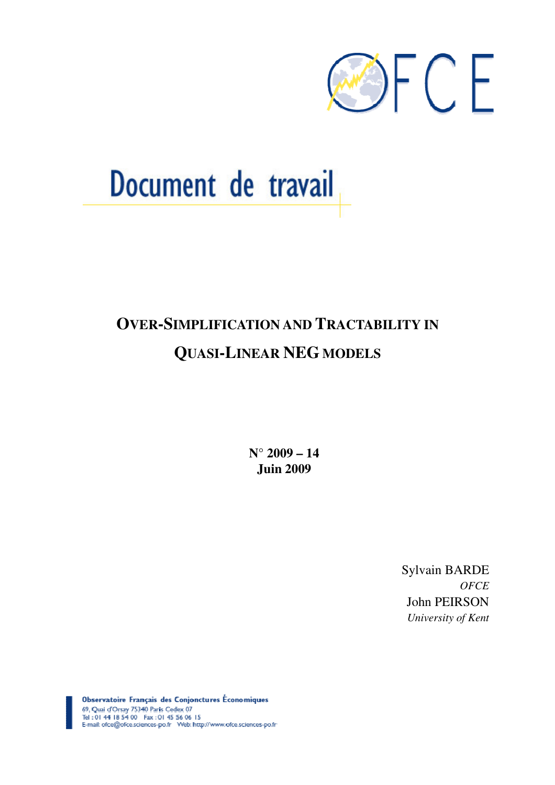

# Document de travail

## **OVER-SIMPLIFICATION AND TRACTABILITY IN QUASI-LINEAR NEG MODELS**

**N° 2009 – 14 Juin 2009** 

> Sylvain BARDE *OFCE*  John PEIRSON *University of Kent*

Observatoire Français des Conjonctures Économiques 69, Quai d'Orsay 75340 Paris Cedex 07<br>Tel : 01 44 18 54 00 Fax : 01 45 56 06 15 E-mail: ofce@ofce.sciences-po.fr Web: http://www.ofce.sciences-po.fr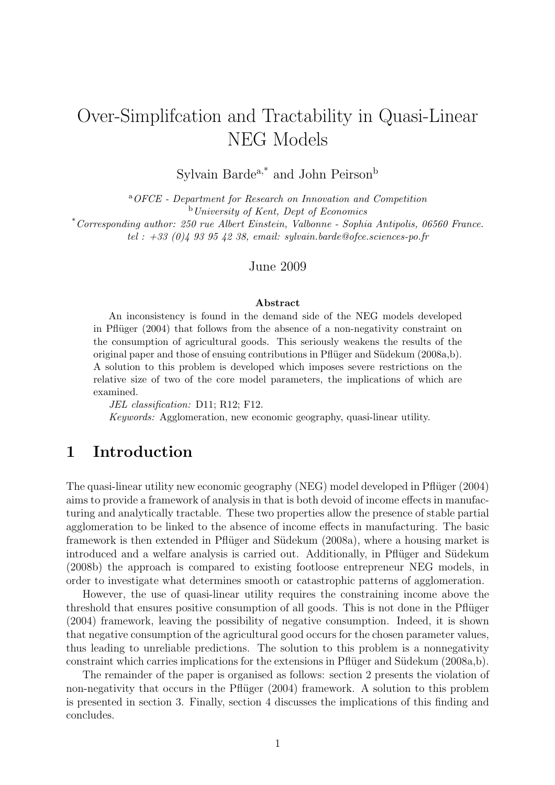## Over-Simplifcation and Tractability in Quasi-Linear NEG Models

Sylvain Barde $a$ ,<br/>\* and John Peirson $^{\rm b}$ 

<sup>a</sup>OFCE - Department for Research on Innovation and Competition  $b$ University of Kent, Dept of Economics

\*Corresponding author: 250 rue Albert Einstein, Valbonne - Sophia Antipolis, 06560 France. tel :  $+33$  (0)4 93 95 42 38, email: sylvain.barde@ofce.sciences-po.fr

#### June 2009

#### Abstract

An inconsistency is found in the demand side of the NEG models developed in Pflüger  $(2004)$  that follows from the absence of a non-negativity constraint on the consumption of agricultural goods. This seriously weakens the results of the original paper and those of ensuing contributions in Pflüger and Südekum (2008a,b). A solution to this problem is developed which imposes severe restrictions on the relative size of two of the core model parameters, the implications of which are examined.

JEL classification: D11; R12; F12.

Keywords: Agglomeration, new economic geography, quasi-linear utility.

## 1 Introduction

The quasi-linear utility new economic geography (NEG) model developed in Pflüger (2004) aims to provide a framework of analysis in that is both devoid of income effects in manufacturing and analytically tractable. These two properties allow the presence of stable partial agglomeration to be linked to the absence of income effects in manufacturing. The basic framework is then extended in Pflüger and Südekum (2008a), where a housing market is introduced and a welfare analysis is carried out. Additionally, in Pflüger and Südekum (2008b) the approach is compared to existing footloose entrepreneur NEG models, in order to investigate what determines smooth or catastrophic patterns of agglomeration.

However, the use of quasi-linear utility requires the constraining income above the threshold that ensures positive consumption of all goods. This is not done in the Pflüger (2004) framework, leaving the possibility of negative consumption. Indeed, it is shown that negative consumption of the agricultural good occurs for the chosen parameter values, thus leading to unreliable predictions. The solution to this problem is a nonnegativity constraint which carries implications for the extensions in Pflüger and Südekum  $(2008a,b)$ .

The remainder of the paper is organised as follows: section 2 presents the violation of non-negativity that occurs in the Pflüger (2004) framework. A solution to this problem is presented in section 3. Finally, section 4 discusses the implications of this finding and concludes.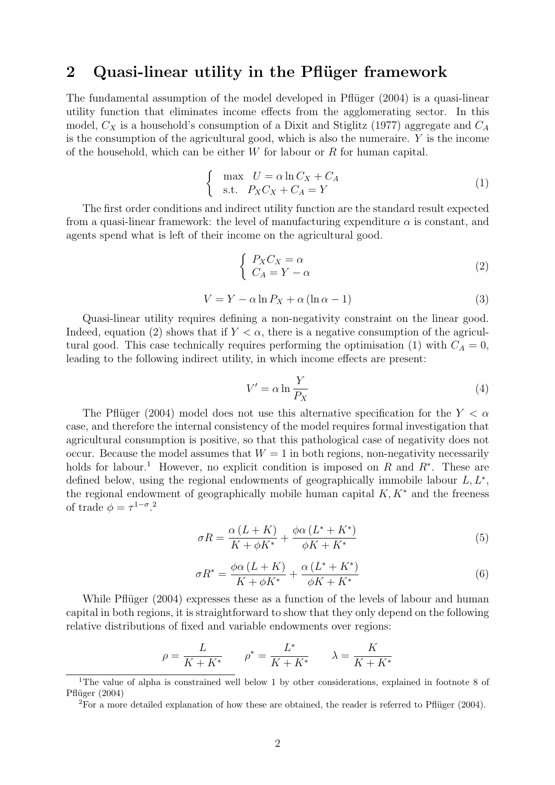## 2 Quasi-linear utility in the Pflüger framework

The fundamental assumption of the model developed in Pflüger  $(2004)$  is a quasi-linear utility function that eliminates income effects from the agglomerating sector. In this model,  $C_X$  is a household's consumption of a Dixit and Stiglitz (1977) aggregate and  $C_A$ is the consumption of the agricultural good, which is also the numeraire. Y is the income of the household, which can be either  $W$  for labour or  $R$  for human capital.

$$
\begin{cases}\n\max \quad U = \alpha \ln C_X + C_A \\
\text{s.t.} \quad P_X C_X + C_A = Y\n\end{cases} (1)
$$

The first order conditions and indirect utility function are the standard result expected from a quasi-linear framework: the level of manufacturing expenditure  $\alpha$  is constant, and agents spend what is left of their income on the agricultural good.

$$
\begin{cases}\nP_X C_X = \alpha \\
C_A = Y - \alpha\n\end{cases} \tag{2}
$$

$$
V = Y - \alpha \ln P_X + \alpha (\ln \alpha - 1)
$$
\n(3)

Quasi-linear utility requires defining a non-negativity constraint on the linear good. Indeed, equation (2) shows that if  $Y < \alpha$ , there is a negative consumption of the agricultural good. This case technically requires performing the optimisation (1) with  $C_A = 0$ , leading to the following indirect utility, in which income effects are present:

$$
V' = \alpha \ln \frac{Y}{P_X} \tag{4}
$$

The Pflüger (2004) model does not use this alternative specification for the  $Y < \alpha$ case, and therefore the internal consistency of the model requires formal investigation that agricultural consumption is positive, so that this pathological case of negativity does not occur. Because the model assumes that  $W = 1$  in both regions, non-negativity necessarily holds for labour.<sup>1</sup> However, no explicit condition is imposed on R and  $R^*$ . These are defined below, using the regional endowments of geographically immobile labour  $L, L^*$ , the regional endowment of geographically mobile human capital  $K, K^*$  and the freeness of trade  $\phi = \tau^{1-\sigma}$ .<sup>2</sup>

$$
\sigma R = \frac{\alpha (L+K)}{K + \phi K^*} + \frac{\phi \alpha (L^* + K^*)}{\phi K + K^*}
$$
\n<sup>(5)</sup>

$$
\sigma R^* = \frac{\phi \alpha \left( L + K \right)}{K + \phi K^*} + \frac{\alpha \left( L^* + K^* \right)}{\phi K + K^*}
$$
\n<sup>(6)</sup>

While Pflüger  $(2004)$  expresses these as a function of the levels of labour and human capital in both regions, it is straightforward to show that they only depend on the following relative distributions of fixed and variable endowments over regions:

$$
\rho = \frac{L}{K + K^*} \qquad \rho^* = \frac{L^*}{K + K^*} \qquad \lambda = \frac{K}{K + K^*}
$$

<sup>&</sup>lt;sup>1</sup>The value of alpha is constrained well below 1 by other considerations, explained in footnote 8 of Pflüger (2004)

<sup>&</sup>lt;sup>2</sup>For a more detailed explanation of how these are obtained, the reader is referred to Pflüger (2004).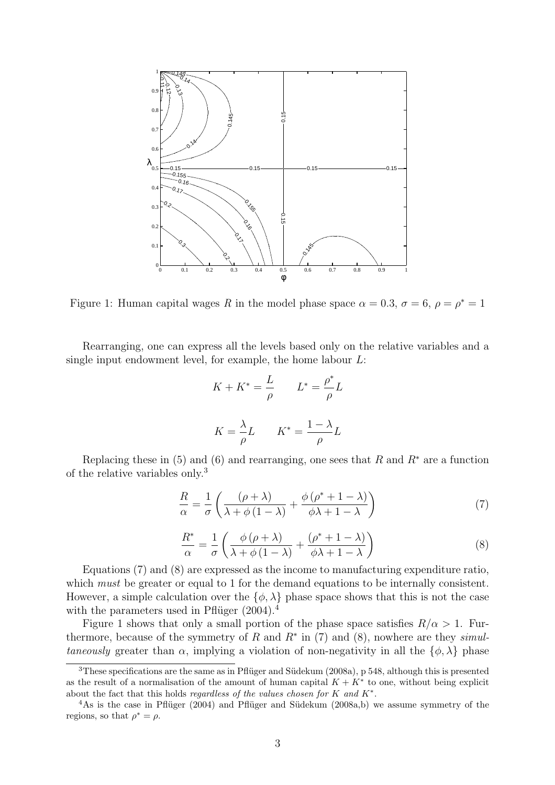

Figure 1: Human capital wages R in the model phase space  $\alpha = 0.3$ ,  $\sigma = 6$ ,  $\rho = \rho^* = 1$ 

Rearranging, one can express all the levels based only on the relative variables and a single input endowment level, for example, the home labour  $L$ :

$$
K + K^* = \frac{L}{\rho} \qquad L^* = \frac{\rho^*}{\rho} L
$$

$$
K = \frac{\lambda}{\rho} L \qquad K^* = \frac{1 - \lambda}{\rho} L
$$

Replacing these in (5) and (6) and rearranging, one sees that R and  $R^*$  are a function of the relative variables only.<sup>3</sup>

$$
\frac{R}{\alpha} = \frac{1}{\sigma} \left( \frac{(\rho + \lambda)}{\lambda + \phi (1 - \lambda)} + \frac{\phi (\rho^* + 1 - \lambda)}{\phi \lambda + 1 - \lambda} \right) \tag{7}
$$

$$
\frac{R^*}{\alpha} = \frac{1}{\sigma} \left( \frac{\phi \left( \rho + \lambda \right)}{\lambda + \phi \left( 1 - \lambda \right)} + \frac{\left( \rho^* + 1 - \lambda \right)}{\phi \lambda + 1 - \lambda} \right) \tag{8}
$$

Equations (7) and (8) are expressed as the income to manufacturing expenditure ratio, which *must* be greater or equal to 1 for the demand equations to be internally consistent. However, a simple calculation over the  $\{\phi, \lambda\}$  phase space shows that this is not the case with the parameters used in Pflüger  $(2004).<sup>4</sup>$ 

Figure 1 shows that only a small portion of the phase space satisfies  $R/\alpha > 1$ . Furthermore, because of the symmetry of R and  $R^*$  in (7) and (8), nowhere are they *simul*taneously greater than  $\alpha$ , implying a violation of non-negativity in all the  $\{\phi, \lambda\}$  phase

 $3$ These specifications are the same as in Pflüger and Südekum (2008a), p 548, although this is presented as the result of a normalisation of the amount of human capital  $K + K^*$  to one, without being explicit about the fact that this holds regardless of the values chosen for  $K$  and  $K^*$ .

 $4\text{As}$  is the case in Pflüger (2004) and Pflüger and Südekum (2008a,b) we assume symmetry of the regions, so that  $\rho^* = \rho$ .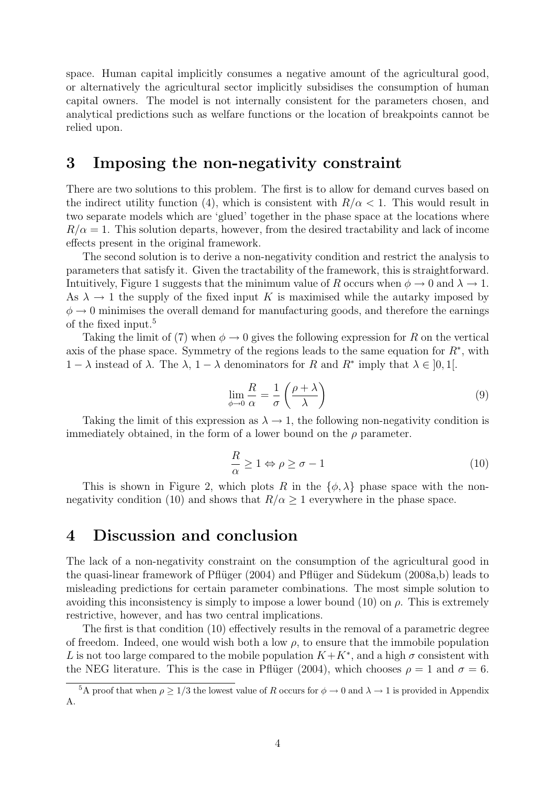space. Human capital implicitly consumes a negative amount of the agricultural good, or alternatively the agricultural sector implicitly subsidises the consumption of human capital owners. The model is not internally consistent for the parameters chosen, and analytical predictions such as welfare functions or the location of breakpoints cannot be relied upon.

## 3 Imposing the non-negativity constraint

There are two solutions to this problem. The first is to allow for demand curves based on the indirect utility function (4), which is consistent with  $R/\alpha < 1$ . This would result in two separate models which are 'glued' together in the phase space at the locations where  $R/\alpha = 1$ . This solution departs, however, from the desired tractability and lack of income effects present in the original framework.

The second solution is to derive a non-negativity condition and restrict the analysis to parameters that satisfy it. Given the tractability of the framework, this is straightforward. Intuitively, Figure 1 suggests that the minimum value of R occurs when  $\phi \to 0$  and  $\lambda \to 1$ . As  $\lambda \to 1$  the supply of the fixed input K is maximised while the autarky imposed by  $\phi \rightarrow 0$  minimises the overall demand for manufacturing goods, and therefore the earnings of the fixed input.<sup>5</sup>

Taking the limit of (7) when  $\phi \rightarrow 0$  gives the following expression for R on the vertical axis of the phase space. Symmetry of the regions leads to the same equation for  $R^*$ , with  $1 - \lambda$  instead of  $\lambda$ . The  $\lambda$ ,  $1 - \lambda$  denominators for R and R<sup>\*</sup> imply that  $\lambda \in [0, 1]$ .

$$
\lim_{\phi \to 0} \frac{R}{\alpha} = \frac{1}{\sigma} \left( \frac{\rho + \lambda}{\lambda} \right) \tag{9}
$$

Taking the limit of this expression as  $\lambda \to 1$ , the following non-negativity condition is immediately obtained, in the form of a lower bound on the  $\rho$  parameter.

$$
\frac{R}{\alpha} \ge 1 \Leftrightarrow \rho \ge \sigma - 1 \tag{10}
$$

This is shown in Figure 2, which plots R in the  $\{\phi, \lambda\}$  phase space with the nonnegativity condition (10) and shows that  $R/\alpha \geq 1$  everywhere in the phase space.

## 4 Discussion and conclusion

The lack of a non-negativity constraint on the consumption of the agricultural good in the quasi-linear framework of Pflüger (2004) and Pflüger and Südekum (2008a,b) leads to misleading predictions for certain parameter combinations. The most simple solution to avoiding this inconsistency is simply to impose a lower bound  $(10)$  on  $\rho$ . This is extremely restrictive, however, and has two central implications.

The first is that condition (10) effectively results in the removal of a parametric degree of freedom. Indeed, one would wish both a low  $\rho$ , to ensure that the immobile population L is not too large compared to the mobile population  $K + K^*$ , and a high  $\sigma$  consistent with the NEG literature. This is the case in Pflüger (2004), which chooses  $\rho = 1$  and  $\sigma = 6$ .

<sup>&</sup>lt;sup>5</sup>A proof that when  $\rho \geq 1/3$  the lowest value of R occurs for  $\phi \to 0$  and  $\lambda \to 1$  is provided in Appendix A.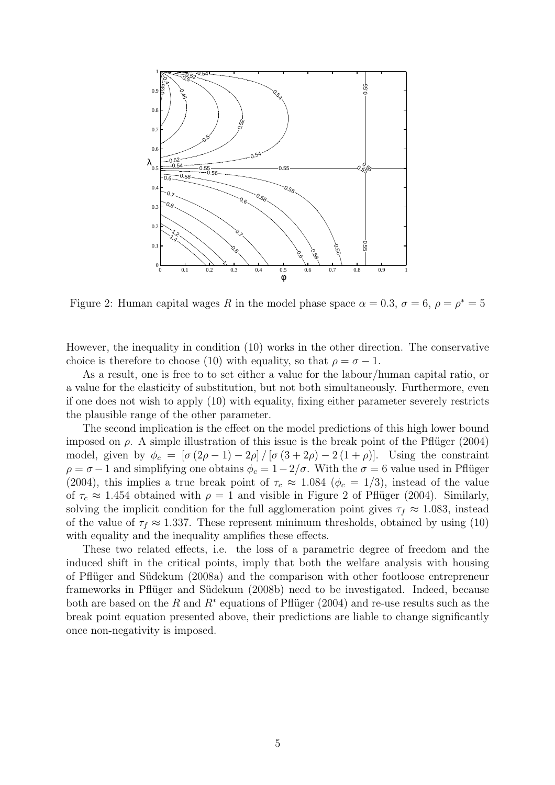

Figure 2: Human capital wages R in the model phase space  $\alpha = 0.3$ ,  $\sigma = 6$ ,  $\rho = \rho^* = 5$ 

However, the inequality in condition (10) works in the other direction. The conservative choice is therefore to choose (10) with equality, so that  $\rho = \sigma - 1$ .

As a result, one is free to to set either a value for the labour/human capital ratio, or a value for the elasticity of substitution, but not both simultaneously. Furthermore, even if one does not wish to apply (10) with equality, fixing either parameter severely restricts the plausible range of the other parameter.

The second implication is the effect on the model predictions of this high lower bound imposed on  $\rho$ . A simple illustration of this issue is the break point of the Pflüger (2004) model, given by  $\phi_c = \left[\sigma(2\rho - 1) - 2\rho\right] / \left[\sigma(3 + 2\rho) - 2(1 + \rho)\right]$ . Using the constraint  $\rho = \sigma - 1$  and simplifying one obtains  $\phi_c = 1 - 2/\sigma$ . With the  $\sigma = 6$  value used in Pflüger (2004), this implies a true break point of  $\tau_c \approx 1.084$  ( $\phi_c = 1/3$ ), instead of the value of  $\tau_c \approx 1.454$  obtained with  $\rho = 1$  and visible in Figure 2 of Pflüger (2004). Similarly, solving the implicit condition for the full agglomeration point gives  $\tau_f \approx 1.083$ , instead of the value of  $\tau_f \approx 1.337$ . These represent minimum thresholds, obtained by using (10) with equality and the inequality amplifies these effects.

These two related effects, i.e. the loss of a parametric degree of freedom and the induced shift in the critical points, imply that both the welfare analysis with housing of Pflüger and Südekum (2008a) and the comparison with other footloose entrepreneur frameworks in Pflüger and Südekum (2008b) need to be investigated. Indeed, because both are based on the R and  $R^*$  equations of Pflüger (2004) and re-use results such as the break point equation presented above, their predictions are liable to change significantly once non-negativity is imposed.